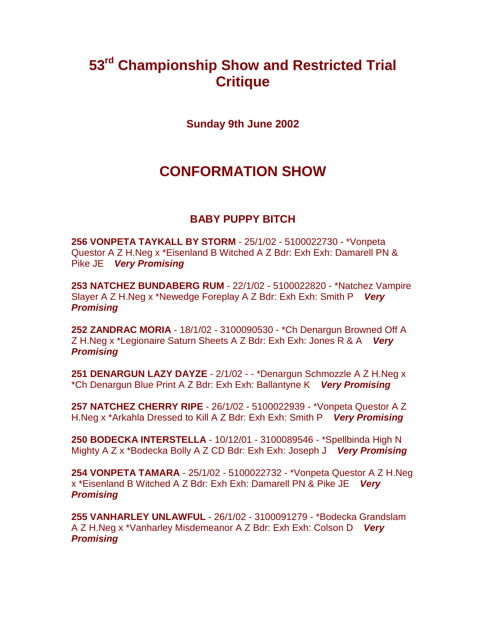# **53rd Championship Show and Restricted Trial Critique**

**Sunday 9th June 2002**

# **CONFORMATION SHOW**

# **BABY PUPPY BITCH**

**256 VONPETA TAYKALL BY STORM** - 25/1/02 - 5100022730 - \*Vonpeta Questor A Z H.Neg x \*Eisenland B Witched A Z Bdr: Exh Exh: Damarell PN & Pike JE *Very Promising*

**253 NATCHEZ BUNDABERG RUM** - 22/1/02 - 5100022820 - \*Natchez Vampire Slayer A Z H.Neg x \*Newedge Foreplay A Z Bdr: Exh Exh: Smith P *Very Promising*

**252 ZANDRAC MORIA** - 18/1/02 - 3100090530 - \*Ch Denargun Browned Off A Z H.Neg x \*Legionaire Saturn Sheets A Z Bdr: Exh Exh: Jones R & A *Very Promising*

**251 DENARGUN LAZY DAYZE** - 2/1/02 - - \*Denargun Schmozzle A Z H.Neg x \*Ch Denargun Blue Print A Z Bdr: Exh Exh: Ballantyne K *Very Promising*

**257 NATCHEZ CHERRY RIPE** - 26/1/02 - 5100022939 - \*Vonpeta Questor A Z H.Neg x \*Arkahla Dressed to Kill A Z Bdr: Exh Exh: Smith P *Very Promising*

**250 BODECKA INTERSTELLA** - 10/12/01 - 3100089546 - \*Spellbinda High N Mighty A Z x \*Bodecka Bolly A Z CD Bdr: Exh Exh: Joseph J *Very Promising*

**254 VONPETA TAMARA** - 25/1/02 - 5100022732 - \*Vonpeta Questor A Z H.Neg x \*Eisenland B Witched A Z Bdr: Exh Exh: Damarell PN & Pike JE *Very Promising*

**255 VANHARLEY UNLAWFUL** - 26/1/02 - 3100091279 - \*Bodecka Grandslam A Z H.Neg x \*Vanharley Misdemeanor A Z Bdr: Exh Exh: Colson D*Very Promising*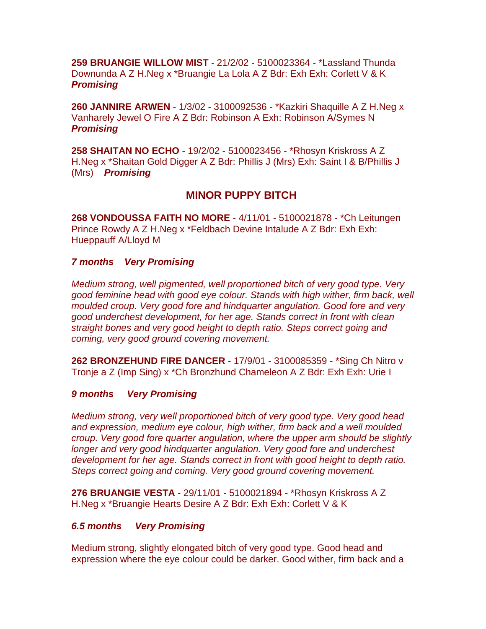**259 BRUANGIE WILLOW MIST** - 21/2/02 - 5100023364 - \*Lassland Thunda Downunda A Z H.Neg x \*Bruangie La Lola A Z Bdr: Exh Exh: Corlett V & K *Promising*

**260 JANNIRE ARWEN** - 1/3/02 - 3100092536 - \*Kazkiri Shaquille A Z H.Neg x Vanharely Jewel O Fire A Z Bdr: Robinson A Exh: Robinson A/Symes N *Promising*

**258 SHAITAN NO ECHO** - 19/2/02 - 5100023456 - \*Rhosyn Kriskross A Z H.Neg x \*Shaitan Gold Digger A Z Bdr: Phillis J (Mrs) Exh: Saint I & B/Phillis J (Mrs) *Promising*

# **MINOR PUPPY BITCH**

**268 VONDOUSSA FAITH NO MORE** - 4/11/01 - 5100021878 - \*Ch Leitungen Prince Rowdy A Z H.Neg x \*Feldbach Devine Intalude A Z Bdr: Exh Exh: Hueppauff A/Lloyd M

## *7 months Very Promising*

*Medium strong, well pigmented, well proportioned bitch of very good type. Very good feminine head with good eye colour. Stands with high wither, firm back, well moulded croup. Very good fore and hindquarter angulation. Good fore and very good underchest development, for her age. Stands correct in front with clean straight bones and very good height to depth ratio. Steps correct going and coming, very good ground covering movement.*

**262 BRONZEHUND FIRE DANCER** - 17/9/01 - 3100085359 - \*Sing Ch Nitro v Tronje a Z (Imp Sing) x \*Ch Bronzhund Chameleon A Z Bdr: Exh Exh: Urie I

## *9 months Very Promising*

*Medium strong, very well proportioned bitch of very good type. Very good head and expression, medium eye colour, high wither, firm back and a well moulded croup. Very good fore quarter angulation, where the upper arm should be slightly longer and very good hindquarter angulation. Very good fore and underchest development for her age. Stands correct in front with good height to depth ratio. Steps correct going and coming. Very good ground covering movement.*

**276 BRUANGIE VESTA** - 29/11/01 - 5100021894 - \*Rhosyn Kriskross A Z H.Neg x \*Bruangie Hearts Desire A Z Bdr: Exh Exh: Corlett V & K

## *6.5 months Very Promising*

Medium strong, slightly elongated bitch of very good type. Good head and expression where the eye colour could be darker. Good wither, firm back and a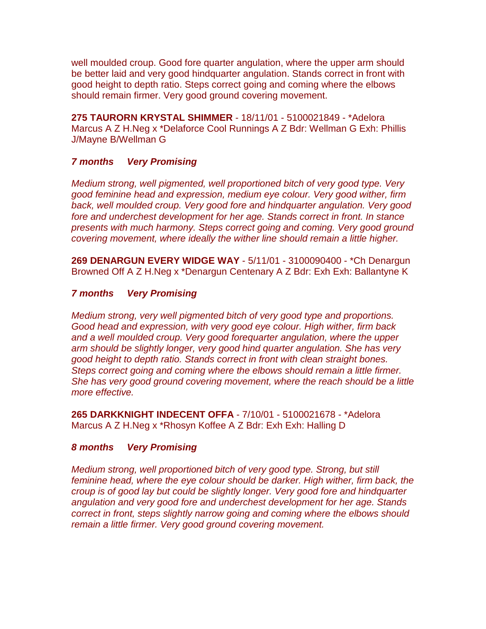well moulded croup. Good fore quarter angulation, where the upper arm should be better laid and very good hindquarter angulation. Stands correct in front with good height to depth ratio. Steps correct going and coming where the elbows should remain firmer. Very good ground covering movement.

**275 TAURORN KRYSTAL SHIMMER** - 18/11/01 - 5100021849 - \*Adelora Marcus A Z H.Neg x \*Delaforce Cool Runnings A Z Bdr: Wellman G Exh: Phillis J/Mayne B/Wellman G

## *7 months Very Promising*

*Medium strong, well pigmented, well proportioned bitch of very good type. Very good feminine head and expression, medium eye colour. Very good wither, firm back, well moulded croup. Very good fore and hindquarter angulation. Very good fore and underchest development for her age. Stands correct in front. In stance presents with much harmony. Steps correct going and coming. Very good ground covering movement, where ideally the wither line should remain a little higher.*

**269 DENARGUN EVERY WIDGE WAY** - 5/11/01 - 3100090400 - \*Ch Denargun Browned Off A Z H.Neg x \*Denargun Centenary A Z Bdr: Exh Exh: Ballantyne K

## *7 months Very Promising*

*Medium strong, very well pigmented bitch of very good type and proportions. Good head and expression, with very good eye colour. High wither, firm back and a well moulded croup. Very good forequarter angulation, where the upper arm should be slightly longer, very good hind quarter angulation. She has very good height to depth ratio. Stands correct in front with clean straight bones. Steps correct going and coming where the elbows should remain a little firmer. She has very good ground covering movement, where the reach should be a little more effective.*

**265 DARKKNIGHT INDECENT OFFA** - 7/10/01 - 5100021678 - \*Adelora Marcus A Z H.Neg x \*Rhosyn Koffee A Z Bdr: Exh Exh: Halling D

# *8 months Very Promising*

*Medium strong, well proportioned bitch of very good type. Strong, but still feminine head, where the eye colour should be darker. High wither, firm back, the croup is of good lay but could be slightly longer. Very good fore and hindquarter angulation and very good fore and underchest development for her age. Stands correct in front, steps slightly narrow going and coming where the elbows should remain a little firmer. Very good ground covering movement.*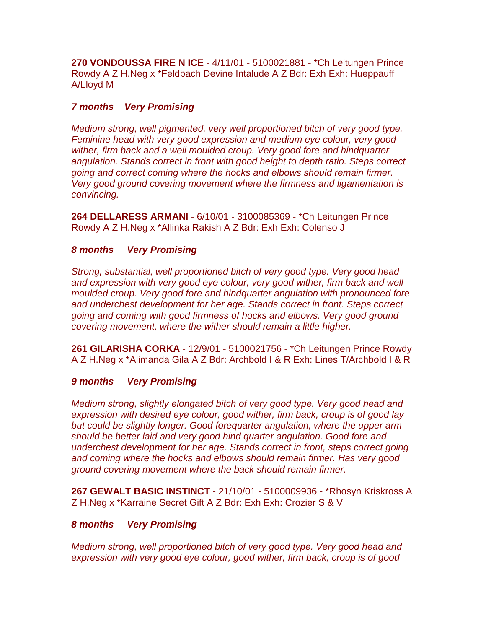**270 VONDOUSSA FIRE N ICE** - 4/11/01 - 5100021881 - \*Ch Leitungen Prince Rowdy A Z H.Neg x \*Feldbach Devine Intalude A Z Bdr: Exh Exh: Hueppauff A/Lloyd M

# *7 months Very Promising*

*Medium strong, well pigmented, very well proportioned bitch of very good type. Feminine head with very good expression and medium eye colour, very good wither, firm back and a well moulded croup. Very good fore and hindquarter angulation. Stands correct in front with good height to depth ratio. Steps correct going and correct coming where the hocks and elbows should remain firmer. Very good ground covering movement where the firmness and ligamentation is convincing.*

**264 DELLARESS ARMANI** - 6/10/01 - 3100085369 - \*Ch Leitungen Prince Rowdy A Z H.Neg x \*Allinka Rakish A Z Bdr: Exh Exh: Colenso J

# *8 months Very Promising*

*Strong, substantial, well proportioned bitch of very good type. Very good head*  and expression with very good eye colour, very good wither, firm back and well *moulded croup. Very good fore and hindquarter angulation with pronounced fore and underchest development for her age. Stands correct in front. Steps correct going and coming with good firmness of hocks and elbows. Very good ground covering movement, where the wither should remain a little higher.*

**261 GILARISHA CORKA** - 12/9/01 - 5100021756 - \*Ch Leitungen Prince Rowdy A Z H.Neg x \*Alimanda Gila A Z Bdr: Archbold I & R Exh: Lines T/Archbold I & R

# *9 months Very Promising*

*Medium strong, slightly elongated bitch of very good type. Very good head and expression with desired eye colour, good wither, firm back, croup is of good lay but could be slightly longer. Good forequarter angulation, where the upper arm should be better laid and very good hind quarter angulation. Good fore and underchest development for her age. Stands correct in front, steps correct going and coming where the hocks and elbows should remain firmer. Has very good ground covering movement where the back should remain firmer.*

**267 GEWALT BASIC INSTINCT** - 21/10/01 - 5100009936 - \*Rhosyn Kriskross A Z H.Neg x \*Karraine Secret Gift A Z Bdr: Exh Exh: Crozier S & V

# *8 months Very Promising*

*Medium strong, well proportioned bitch of very good type. Very good head and expression with very good eye colour, good wither, firm back, croup is of good*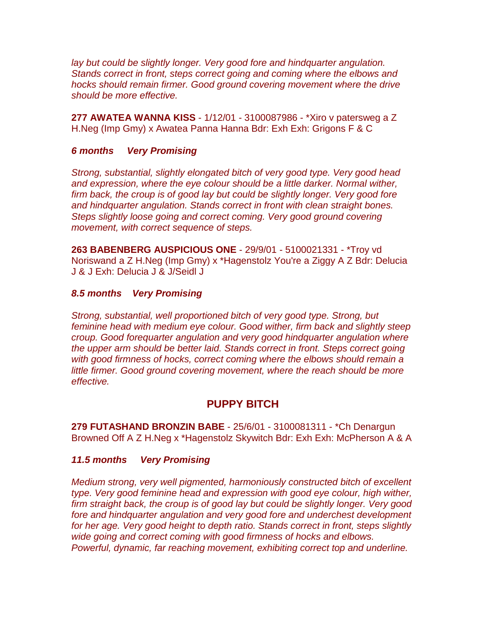*lay but could be slightly longer. Very good fore and hindquarter angulation. Stands correct in front, steps correct going and coming where the elbows and hocks should remain firmer. Good ground covering movement where the drive should be more effective.*

**277 AWATEA WANNA KISS** - 1/12/01 - 3100087986 - \*Xiro v patersweg a Z H.Neg (Imp Gmy) x Awatea Panna Hanna Bdr: Exh Exh: Grigons F & C

## *6 months Very Promising*

*Strong, substantial, slightly elongated bitch of very good type. Very good head and expression, where the eye colour should be a little darker. Normal wither, firm back, the croup is of good lay but could be slightly longer. Very good fore and hindquarter angulation. Stands correct in front with clean straight bones. Steps slightly loose going and correct coming. Very good ground covering movement, with correct sequence of steps.*

**263 BABENBERG AUSPICIOUS ONE** - 29/9/01 - 5100021331 - \*Troy vd Noriswand a Z H.Neg (Imp Gmy) x \*Hagenstolz You're a Ziggy A Z Bdr: Delucia J & J Exh: Delucia J & J/Seidl J

#### *8.5 months Very Promising*

*Strong, substantial, well proportioned bitch of very good type. Strong, but feminine head with medium eye colour. Good wither, firm back and slightly steep croup. Good forequarter angulation and very good hindquarter angulation where the upper arm should be better laid. Stands correct in front. Steps correct going with good firmness of hocks, correct coming where the elbows should remain a little firmer. Good ground covering movement, where the reach should be more effective.*

## **PUPPY BITCH**

**279 FUTASHAND BRONZIN BABE** - 25/6/01 - 3100081311 - \*Ch Denargun Browned Off A Z H.Neg x \*Hagenstolz Skywitch Bdr: Exh Exh: McPherson A & A

## *11.5 months Very Promising*

*Medium strong, very well pigmented, harmoniously constructed bitch of excellent type. Very good feminine head and expression with good eye colour, high wither, firm straight back, the croup is of good lay but could be slightly longer. Very good fore and hindquarter angulation and very good fore and underchest development for her age. Very good height to depth ratio. Stands correct in front, steps slightly wide going and correct coming with good firmness of hocks and elbows. Powerful, dynamic, far reaching movement, exhibiting correct top and underline.*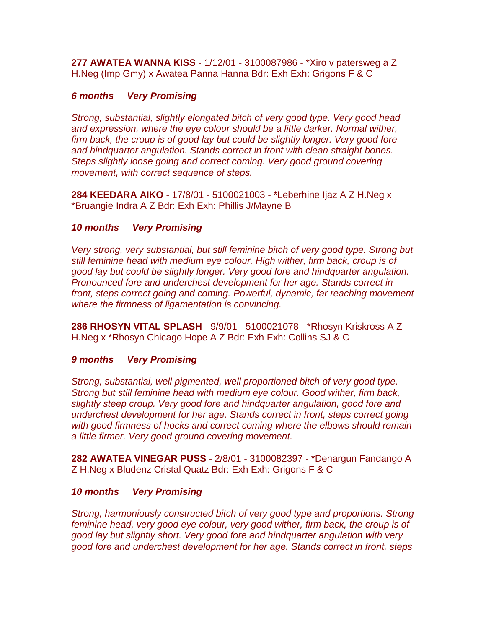**277 AWATEA WANNA KISS** - 1/12/01 - 3100087986 - \*Xiro v patersweg a Z H.Neg (Imp Gmy) x Awatea Panna Hanna Bdr: Exh Exh: Grigons F & C

## *6 months Very Promising*

*Strong, substantial, slightly elongated bitch of very good type. Very good head and expression, where the eye colour should be a little darker. Normal wither, firm back, the croup is of good lay but could be slightly longer. Very good fore and hindquarter angulation. Stands correct in front with clean straight bones. Steps slightly loose going and correct coming. Very good ground covering movement, with correct sequence of steps.*

**284 KEEDARA AIKO** - 17/8/01 - 5100021003 - \*Leberhine Ijaz A Z H.Neg x \*Bruangie Indra A Z Bdr: Exh Exh: Phillis J/Mayne B

## *10 months Very Promising*

*Very strong, very substantial, but still feminine bitch of very good type. Strong but still feminine head with medium eye colour. High wither, firm back, croup is of good lay but could be slightly longer. Very good fore and hindquarter angulation. Pronounced fore and underchest development for her age. Stands correct in front, steps correct going and coming. Powerful, dynamic, far reaching movement where the firmness of ligamentation is convincing.*

**286 RHOSYN VITAL SPLASH** - 9/9/01 - 5100021078 - \*Rhosyn Kriskross A Z H.Neg x \*Rhosyn Chicago Hope A Z Bdr: Exh Exh: Collins SJ & C

## *9 months Very Promising*

*Strong, substantial, well pigmented, well proportioned bitch of very good type. Strong but still feminine head with medium eye colour. Good wither, firm back, slightly steep croup. Very good fore and hindquarter angulation, good fore and underchest development for her age. Stands correct in front, steps correct going with good firmness of hocks and correct coming where the elbows should remain a little firmer. Very good ground covering movement.*

**282 AWATEA VINEGAR PUSS** - 2/8/01 - 3100082397 - \*Denargun Fandango A Z H.Neg x Bludenz Cristal Quatz Bdr: Exh Exh: Grigons F & C

## *10 months Very Promising*

*Strong, harmoniously constructed bitch of very good type and proportions. Strong feminine head, very good eye colour, very good wither, firm back, the croup is of good lay but slightly short. Very good fore and hindquarter angulation with very good fore and underchest development for her age. Stands correct in front, steps*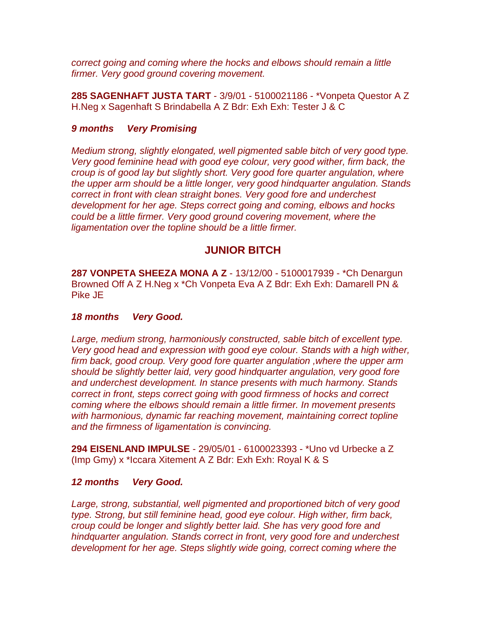*correct going and coming where the hocks and elbows should remain a little firmer. Very good ground covering movement.*

**285 SAGENHAFT JUSTA TART** - 3/9/01 - 5100021186 - \*Vonpeta Questor A Z H.Neg x Sagenhaft S Brindabella A Z Bdr: Exh Exh: Tester J & C

## *9 months Very Promising*

*Medium strong, slightly elongated, well pigmented sable bitch of very good type. Very good feminine head with good eye colour, very good wither, firm back, the croup is of good lay but slightly short. Very good fore quarter angulation, where the upper arm should be a little longer, very good hindquarter angulation. Stands correct in front with clean straight bones. Very good fore and underchest development for her age. Steps correct going and coming, elbows and hocks could be a little firmer. Very good ground covering movement, where the ligamentation over the topline should be a little firmer.*

# **JUNIOR BITCH**

**287 VONPETA SHEEZA MONA A Z** - 13/12/00 - 5100017939 - \*Ch Denargun Browned Off A Z H.Neg x \*Ch Vonpeta Eva A Z Bdr: Exh Exh: Damarell PN & Pike JE

## *18 months Very Good.*

Large, medium strong, harmoniously constructed, sable bitch of excellent type. *Very good head and expression with good eye colour. Stands with a high wither, firm back, good croup. Very good fore quarter angulation ,where the upper arm should be slightly better laid, very good hindquarter angulation, very good fore and underchest development. In stance presents with much harmony. Stands correct in front, steps correct going with good firmness of hocks and correct coming where the elbows should remain a little firmer. In movement presents with harmonious, dynamic far reaching movement, maintaining correct topline and the firmness of ligamentation is convincing.*

**294 EISENLAND IMPULSE** - 29/05/01 - 6100023393 - \*Uno vd Urbecke a Z (Imp Gmy) x \*Iccara Xitement A Z Bdr: Exh Exh: Royal K & S

## *12 months Very Good.*

*Large, strong, substantial, well pigmented and proportioned bitch of very good type. Strong, but still feminine head, good eye colour. High wither, firm back, croup could be longer and slightly better laid. She has very good fore and hindquarter angulation. Stands correct in front, very good fore and underchest development for her age. Steps slightly wide going, correct coming where the*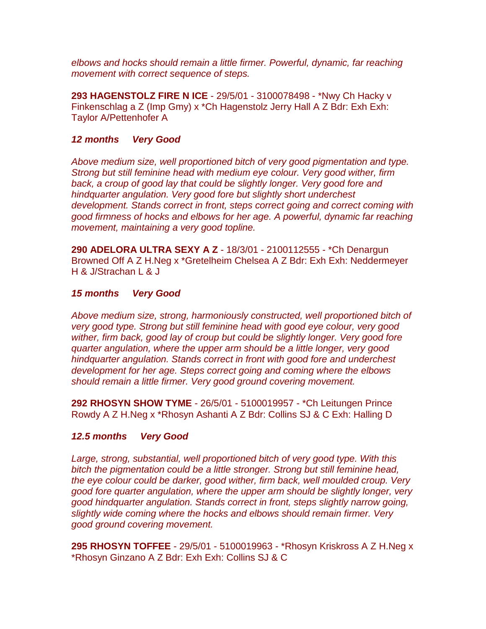*elbows and hocks should remain a little firmer. Powerful, dynamic, far reaching movement with correct sequence of steps.*

**293 HAGENSTOLZ FIRE N ICE** - 29/5/01 - 3100078498 - \*Nwy Ch Hacky v Finkenschlag a Z (Imp Gmy) x \*Ch Hagenstolz Jerry Hall A Z Bdr: Exh Exh: Taylor A/Pettenhofer A

## *12 months Very Good*

*Above medium size, well proportioned bitch of very good pigmentation and type. Strong but still feminine head with medium eye colour. Very good wither, firm*  back, a croup of good lay that could be slightly longer. Very good fore and *hindquarter angulation. Very good fore but slightly short underchest development. Stands correct in front, steps correct going and correct coming with good firmness of hocks and elbows for her age. A powerful, dynamic far reaching movement, maintaining a very good topline.*

**290 ADELORA ULTRA SEXY A Z** - 18/3/01 - 2100112555 - \*Ch Denargun Browned Off A Z H.Neg x \*Gretelheim Chelsea A Z Bdr: Exh Exh: Neddermeyer H & J/Strachan L & J

#### *15 months Very Good*

*Above medium size, strong, harmoniously constructed, well proportioned bitch of very good type. Strong but still feminine head with good eye colour, very good wither, firm back, good lay of croup but could be slightly longer. Very good fore quarter angulation, where the upper arm should be a little longer, very good hindquarter angulation. Stands correct in front with good fore and underchest development for her age. Steps correct going and coming where the elbows should remain a little firmer. Very good ground covering movement.*

**292 RHOSYN SHOW TYME** - 26/5/01 - 5100019957 - \*Ch Leitungen Prince Rowdy A Z H.Neg x \*Rhosyn Ashanti A Z Bdr: Collins SJ & C Exh: Halling D

## *12.5 months Very Good*

*Large, strong, substantial, well proportioned bitch of very good type. With this bitch the pigmentation could be a little stronger. Strong but still feminine head, the eye colour could be darker, good wither, firm back, well moulded croup. Very good fore quarter angulation, where the upper arm should be slightly longer, very good hindquarter angulation. Stands correct in front, steps slightly narrow going, slightly wide coming where the hocks and elbows should remain firmer. Very good ground covering movement.*

**295 RHOSYN TOFFEE** - 29/5/01 - 5100019963 - \*Rhosyn Kriskross A Z H.Neg x \*Rhosyn Ginzano A Z Bdr: Exh Exh: Collins SJ & C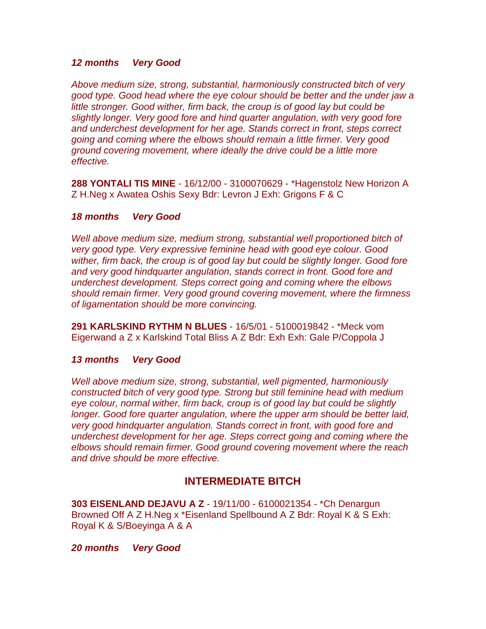## *12 months Very Good*

*Above medium size, strong, substantial, harmoniously constructed bitch of very good type. Good head where the eye colour should be better and the under jaw a little stronger. Good wither, firm back, the croup is of good lay but could be slightly longer. Very good fore and hind quarter angulation, with very good fore and underchest development for her age. Stands correct in front, steps correct going and coming where the elbows should remain a little firmer. Very good ground covering movement, where ideally the drive could be a little more effective.*

**288 YONTALI TIS MINE** - 16/12/00 - 3100070629 - \*Hagenstolz New Horizon A Z H.Neg x Awatea Oshis Sexy Bdr: Levron J Exh: Grigons F & C

## *18 months Very Good*

*Well above medium size, medium strong, substantial well proportioned bitch of very good type. Very expressive feminine head with good eye colour. Good wither, firm back, the croup is of good lay but could be slightly longer. Good fore and very good hindquarter angulation, stands correct in front. Good fore and underchest development. Steps correct going and coming where the elbows should remain firmer. Very good ground covering movement, where the firmness of ligamentation should be more convincing.*

**291 KARLSKIND RYTHM N BLUES** - 16/5/01 - 5100019842 - \*Meck vom Eigerwand a Z x Karlskind Total Bliss A Z Bdr: Exh Exh: Gale P/Coppola J

## *13 months Very Good*

*Well above medium size, strong, substantial, well pigmented, harmoniously constructed bitch of very good type. Strong but still feminine head with medium eye colour, normal wither, firm back, croup is of good lay but could be slightly longer. Good fore quarter angulation, where the upper arm should be better laid, very good hindquarter angulation. Stands correct in front, with good fore and underchest development for her age. Steps correct going and coming where the elbows should remain firmer. Good ground covering movement where the reach and drive should be more effective.*

# **INTERMEDIATE BITCH**

**303 EISENLAND DEJAVU A Z** - 19/11/00 - 6100021354 - \*Ch Denargun Browned Off A Z H.Neg x \*Eisenland Spellbound A Z Bdr: Royal K & S Exh: Royal K & S/Boeyinga A & A

*20 months Very Good*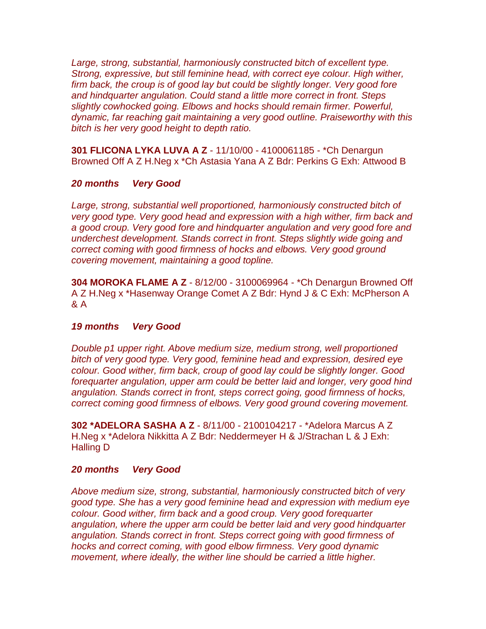Large, strong, substantial, harmoniously constructed bitch of excellent type. *Strong, expressive, but still feminine head, with correct eye colour. High wither, firm back, the croup is of good lay but could be slightly longer. Very good fore and hindquarter angulation. Could stand a little more correct in front. Steps slightly cowhocked going. Elbows and hocks should remain firmer. Powerful, dynamic, far reaching gait maintaining a very good outline. Praiseworthy with this bitch is her very good height to depth ratio.*

**301 FLICONA LYKA LUVA A Z** - 11/10/00 - 4100061185 - \*Ch Denargun Browned Off A Z H.Neg x \*Ch Astasia Yana A Z Bdr: Perkins G Exh: Attwood B

#### *20 months Very Good*

*Large, strong, substantial well proportioned, harmoniously constructed bitch of very good type. Very good head and expression with a high wither, firm back and a good croup. Very good fore and hindquarter angulation and very good fore and underchest development. Stands correct in front. Steps slightly wide going and correct coming with good firmness of hocks and elbows. Very good ground covering movement, maintaining a good topline.*

**304 MOROKA FLAME A Z** - 8/12/00 - 3100069964 - \*Ch Denargun Browned Off A Z H.Neg x \*Hasenway Orange Comet A Z Bdr: Hynd J & C Exh: McPherson A & A

## *19 months Very Good*

*Double p1 upper right. Above medium size, medium strong, well proportioned bitch of very good type. Very good, feminine head and expression, desired eye colour. Good wither, firm back, croup of good lay could be slightly longer. Good forequarter angulation, upper arm could be better laid and longer, very good hind angulation. Stands correct in front, steps correct going, good firmness of hocks, correct coming good firmness of elbows. Very good ground covering movement.*

**302 \*ADELORA SASHA A Z** - 8/11/00 - 2100104217 - \*Adelora Marcus A Z H.Neg x \*Adelora Nikkitta A Z Bdr: Neddermeyer H & J/Strachan L & J Exh: Halling D

#### *20 months Very Good*

*Above medium size, strong, substantial, harmoniously constructed bitch of very good type. She has a very good feminine head and expression with medium eye colour. Good wither, firm back and a good croup. Very good forequarter angulation, where the upper arm could be better laid and very good hindquarter angulation. Stands correct in front. Steps correct going with good firmness of hocks and correct coming, with good elbow firmness. Very good dynamic movement, where ideally, the wither line should be carried a little higher.*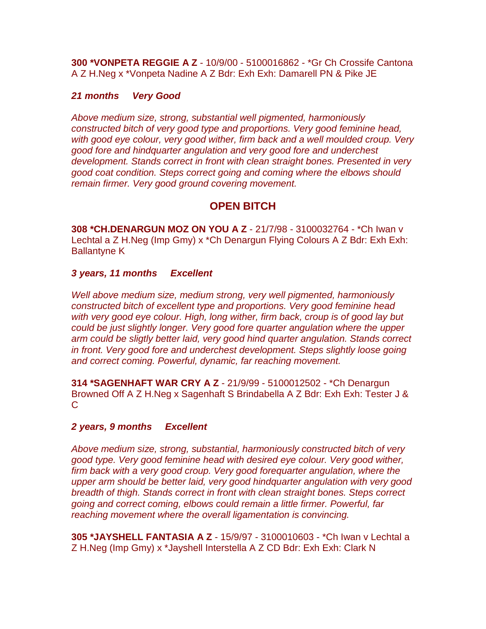**300 \*VONPETA REGGIE A Z** - 10/9/00 - 5100016862 - \*Gr Ch Crossife Cantona A Z H.Neg x \*Vonpeta Nadine A Z Bdr: Exh Exh: Damarell PN & Pike JE

## *21 months Very Good*

*Above medium size, strong, substantial well pigmented, harmoniously constructed bitch of very good type and proportions. Very good feminine head, with good eye colour, very good wither, firm back and a well moulded croup. Very good fore and hindquarter angulation and very good fore and underchest development. Stands correct in front with clean straight bones. Presented in very good coat condition. Steps correct going and coming where the elbows should remain firmer. Very good ground covering movement.*

# **OPEN BITCH**

**308 \*CH.DENARGUN MOZ ON YOU A Z** - 21/7/98 - 3100032764 - \*Ch Iwan v Lechtal a Z H.Neg (Imp Gmy) x \*Ch Denargun Flying Colours A Z Bdr: Exh Exh: Ballantyne K

# *3 years, 11 months Excellent*

*Well above medium size, medium strong, very well pigmented, harmoniously constructed bitch of excellent type and proportions. Very good feminine head with very good eye colour. High, long wither, firm back, croup is of good lay but could be just slightly longer. Very good fore quarter angulation where the upper arm could be sligtly better laid, very good hind quarter angulation. Stands correct in front. Very good fore and underchest development. Steps slightly loose going and correct coming. Powerful, dynamic, far reaching movement.*

**314 \*SAGENHAFT WAR CRY A Z** - 21/9/99 - 5100012502 - \*Ch Denargun Browned Off A Z H.Neg x Sagenhaft S Brindabella A Z Bdr: Exh Exh: Tester J &  $\mathcal{C}$ 

## *2 years, 9 months Excellent*

*Above medium size, strong, substantial, harmoniously constructed bitch of very good type. Very good feminine head with desired eye colour. Very good wither, firm back with a very good croup. Very good forequarter angulation, where the upper arm should be better laid, very good hindquarter angulation with very good breadth of thigh. Stands correct in front with clean straight bones. Steps correct going and correct coming, elbows could remain a little firmer. Powerful, far reaching movement where the overall ligamentation is convincing.*

**305 \*JAYSHELL FANTASIA A Z** - 15/9/97 - 3100010603 - \*Ch Iwan v Lechtal a Z H.Neg (Imp Gmy) x \*Jayshell Interstella A Z CD Bdr: Exh Exh: Clark N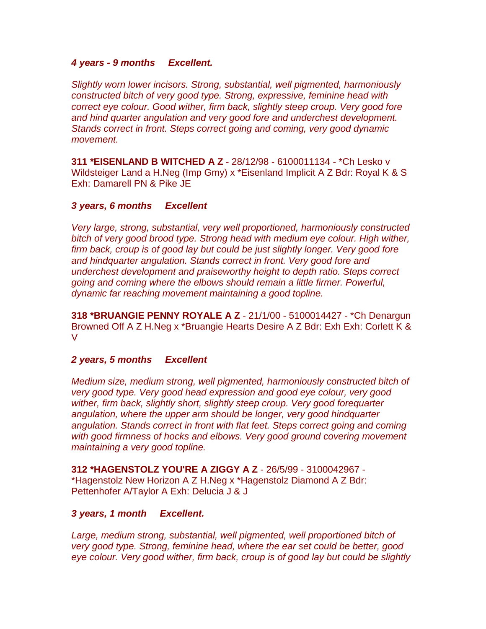## *4 years - 9 months Excellent.*

*Slightly worn lower incisors. Strong, substantial, well pigmented, harmoniously constructed bitch of very good type. Strong, expressive, feminine head with correct eye colour. Good wither, firm back, slightly steep croup. Very good fore and hind quarter angulation and very good fore and underchest development. Stands correct in front. Steps correct going and coming, very good dynamic movement.*

**311 \*EISENLAND B WITCHED A Z** - 28/12/98 - 6100011134 - \*Ch Lesko v Wildsteiger Land a H.Neg (Imp Gmy) x \*Eisenland Implicit A Z Bdr: Royal K & S Exh: Damarell PN & Pike JE

## *3 years, 6 months Excellent*

*Very large, strong, substantial, very well proportioned, harmoniously constructed bitch of very good brood type. Strong head with medium eye colour. High wither, firm back, croup is of good lay but could be just slightly longer. Very good fore and hindquarter angulation. Stands correct in front. Very good fore and underchest development and praiseworthy height to depth ratio. Steps correct going and coming where the elbows should remain a little firmer. Powerful, dynamic far reaching movement maintaining a good topline.*

**318 \*BRUANGIE PENNY ROYALE A Z** - 21/1/00 - 5100014427 - \*Ch Denargun Browned Off A Z H.Neg x \*Bruangie Hearts Desire A Z Bdr: Exh Exh: Corlett K & V

## *2 years, 5 months Excellent*

*Medium size, medium strong, well pigmented, harmoniously constructed bitch of very good type. Very good head expression and good eye colour, very good wither, firm back, slightly short, slightly steep croup. Very good forequarter angulation, where the upper arm should be longer, very good hindquarter angulation. Stands correct in front with flat feet. Steps correct going and coming with good firmness of hocks and elbows. Very good ground covering movement maintaining a very good topline.*

**312 \*HAGENSTOLZ YOU'RE A ZIGGY A Z** - 26/5/99 - 3100042967 - \*Hagenstolz New Horizon A Z H.Neg x \*Hagenstolz Diamond A Z Bdr: Pettenhofer A/Taylor A Exh: Delucia J & J

## *3 years, 1 month Excellent.*

Large, medium strong, substantial, well pigmented, well proportioned bitch of *very good type. Strong, feminine head, where the ear set could be better, good eye colour. Very good wither, firm back, croup is of good lay but could be slightly*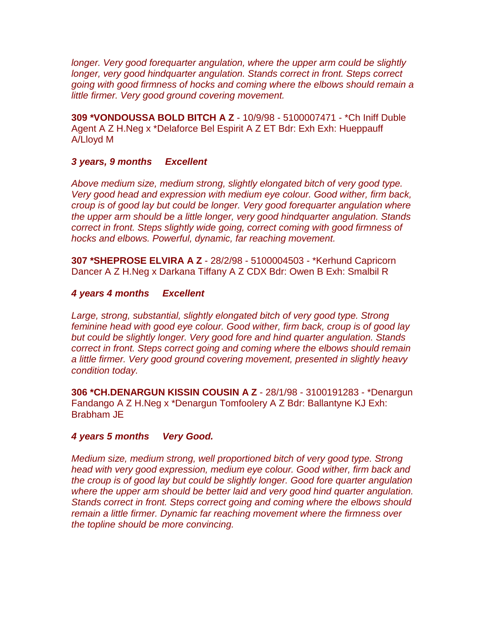*longer. Very good forequarter angulation, where the upper arm could be slightly longer, very good hindquarter angulation. Stands correct in front. Steps correct going with good firmness of hocks and coming where the elbows should remain a little firmer. Very good ground covering movement.*

**309 \*VONDOUSSA BOLD BITCH A Z** - 10/9/98 - 5100007471 - \*Ch Iniff Duble Agent A Z H.Neg x \*Delaforce Bel Espirit A Z ET Bdr: Exh Exh: Hueppauff A/Lloyd M

# *3 years, 9 months Excellent*

*Above medium size, medium strong, slightly elongated bitch of very good type. Very good head and expression with medium eye colour. Good wither, firm back, croup is of good lay but could be longer. Very good forequarter angulation where the upper arm should be a little longer, very good hindquarter angulation. Stands correct in front. Steps slightly wide going, correct coming with good firmness of hocks and elbows. Powerful, dynamic, far reaching movement.*

**307 \*SHEPROSE ELVIRA A Z** - 28/2/98 - 5100004503 - \*Kerhund Capricorn Dancer A Z H.Neg x Darkana Tiffany A Z CDX Bdr: Owen B Exh: Smalbil R

#### *4 years 4 months Excellent*

Large, strong, substantial, slightly elongated bitch of very good type. Strong *feminine head with good eye colour. Good wither, firm back, croup is of good lay but could be slightly longer. Very good fore and hind quarter angulation. Stands correct in front. Steps correct going and coming where the elbows should remain a little firmer. Very good ground covering movement, presented in slightly heavy condition today.*

**306 \*CH.DENARGUN KISSIN COUSIN A Z** - 28/1/98 - 3100191283 - \*Denargun Fandango A Z H.Neg x \*Denargun Tomfoolery A Z Bdr: Ballantyne KJ Exh: Brabham JE

#### *4 years 5 months Very Good.*

*Medium size, medium strong, well proportioned bitch of very good type. Strong head with very good expression, medium eye colour. Good wither, firm back and the croup is of good lay but could be slightly longer. Good fore quarter angulation where the upper arm should be better laid and very good hind quarter angulation. Stands correct in front. Steps correct going and coming where the elbows should remain a little firmer. Dynamic far reaching movement where the firmness over the topline should be more convincing.*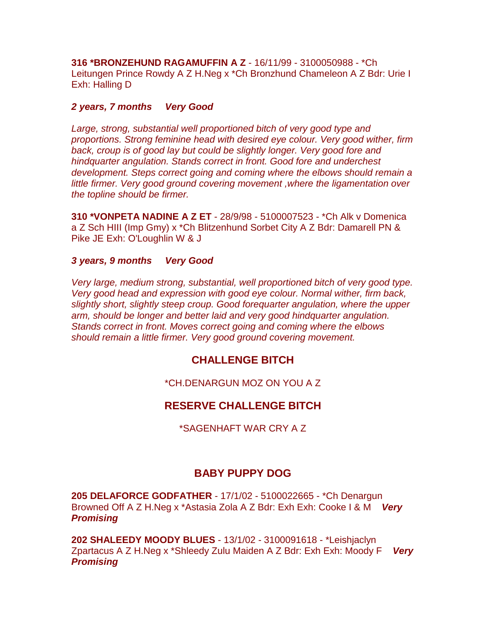**316 \*BRONZEHUND RAGAMUFFIN A Z** - 16/11/99 - 3100050988 - \*Ch Leitungen Prince Rowdy A Z H.Neg x \*Ch Bronzhund Chameleon A Z Bdr: Urie I Exh: Halling D

## *2 years, 7 months Very Good*

Large, strong, substantial well proportioned bitch of very good type and *proportions. Strong feminine head with desired eye colour. Very good wither, firm*  back, croup is of good lay but could be slightly longer. Very good fore and *hindquarter angulation. Stands correct in front. Good fore and underchest development. Steps correct going and coming where the elbows should remain a little firmer. Very good ground covering movement ,where the ligamentation over the topline should be firmer.*

**310 \*VONPETA NADINE A Z ET** - 28/9/98 - 5100007523 - \*Ch Alk v Domenica a Z Sch HIII (Imp Gmy) x \*Ch Blitzenhund Sorbet City A Z Bdr: Damarell PN & Pike JE Exh: O'Loughlin W & J

## *3 years, 9 months Very Good*

*Very large, medium strong, substantial, well proportioned bitch of very good type. Very good head and expression with good eye colour. Normal wither, firm back, slightly short, slightly steep croup. Good forequarter angulation, where the upper arm, should be longer and better laid and very good hindquarter angulation. Stands correct in front. Moves correct going and coming where the elbows should remain a little firmer. Very good ground covering movement.*

# **CHALLENGE BITCH**

\*CH.DENARGUN MOZ ON YOU A Z

# **RESERVE CHALLENGE BITCH**

\*SAGENHAFT WAR CRY A Z

# **BABY PUPPY DOG**

**205 DELAFORCE GODFATHER** - 17/1/02 - 5100022665 - \*Ch Denargun Browned Off A Z H.Neg x \*Astasia Zola A Z Bdr: Exh Exh: Cooke I & M *Very Promising*

**202 SHALEEDY MOODY BLUES** - 13/1/02 - 3100091618 - \*Leishjaclyn Zpartacus A Z H.Neg x \*Shleedy Zulu Maiden A Z Bdr: Exh Exh: Moody F *Very Promising*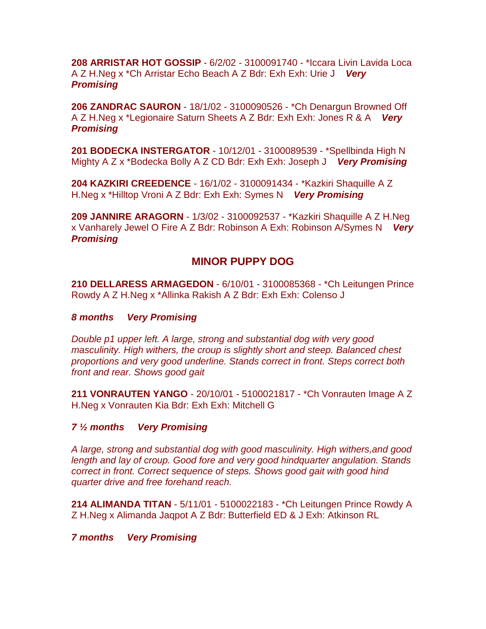**208 ARRISTAR HOT GOSSIP** - 6/2/02 - 3100091740 - \*Iccara Livin Lavida Loca A Z H.Neg x \*Ch Arristar Echo Beach A Z Bdr: Exh Exh: Urie J *Very Promising*

**206 ZANDRAC SAURON** - 18/1/02 - 3100090526 - \*Ch Denargun Browned Off A Z H.Neg x \*Legionaire Saturn Sheets A Z Bdr: Exh Exh: Jones R & A *Very Promising*

**201 BODECKA INSTERGATOR** - 10/12/01 - 3100089539 - \*Spellbinda High N Mighty A Z x \*Bodecka Bolly A Z CD Bdr: Exh Exh: Joseph J *Very Promising*

**204 KAZKIRI CREEDENCE** - 16/1/02 - 3100091434 - \*Kazkiri Shaquille A Z H.Neg x \*Hilltop Vroni A Z Bdr: Exh Exh: Symes N *Very Promising*

**209 JANNIRE ARAGORN** - 1/3/02 - 3100092537 - \*Kazkiri Shaquille A Z H.Neg x Vanharely Jewel O Fire A Z Bdr: Robinson A Exh: Robinson A/Symes N *Very Promising*

# **MINOR PUPPY DOG**

**210 DELLARESS ARMAGEDON** - 6/10/01 - 3100085368 - \*Ch Leitungen Prince Rowdy A Z H.Neg x \*Allinka Rakish A Z Bdr: Exh Exh: Colenso J

## *8 months Very Promising*

*Double p1 upper left. A large, strong and substantial dog with very good masculinity. High withers, the croup is slightly short and steep. Balanced chest proportions and very good underline. Stands correct in front. Steps correct both front and rear. Shows good gait*

**211 VONRAUTEN YANGO** - 20/10/01 - 5100021817 - \*Ch Vonrauten Image A Z H.Neg x Vonrauten Kia Bdr: Exh Exh: Mitchell G

*7 ½ months Very Promising*

*A large, strong and substantial dog with good masculinity. High withers,and good length and lay of croup. Good fore and very good hindquarter angulation. Stands correct in front. Correct sequence of steps. Shows good gait with good hind quarter drive and free forehand reach.*

**214 ALIMANDA TITAN** - 5/11/01 - 5100022183 - \*Ch Leitungen Prince Rowdy A Z H.Neg x Alimanda Jaqpot A Z Bdr: Butterfield ED & J Exh: Atkinson RL

*7 months Very Promising*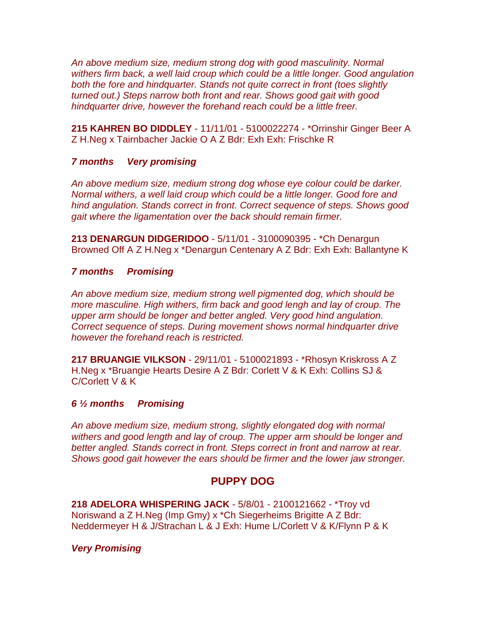*An above medium size, medium strong dog with good masculinity. Normal withers firm back, a well laid croup which could be a little longer. Good angulation both the fore and hindquarter. Stands not quite correct in front (toes slightly turned out.) Steps narrow both front and rear. Shows good gait with good hindquarter drive, however the forehand reach could be a little freer.*

**215 KAHREN BO DIDDLEY** - 11/11/01 - 5100022274 - \*Orrinshir Ginger Beer A Z H.Neg x Tairnbacher Jackie O A Z Bdr: Exh Exh: Frischke R

## *7 months Very promising*

*An above medium size, medium strong dog whose eye colour could be darker. Normal withers, a well laid croup which could be a little longer. Good fore and hind angulation. Stands correct in front. Correct sequence of steps. Shows good gait where the ligamentation over the back should remain firmer.*

**213 DENARGUN DIDGERIDOO** - 5/11/01 - 3100090395 - \*Ch Denargun Browned Off A Z H.Neg x \*Denargun Centenary A Z Bdr: Exh Exh: Ballantyne K

## *7 months Promising*

*An above medium size, medium strong well pigmented dog, which should be more masculine. High withers, firm back and good lengh and lay of croup. The upper arm should be longer and better angled. Very good hind angulation. Correct sequence of steps. During movement shows normal hindquarter drive however the forehand reach is restricted.*

**217 BRUANGIE VILKSON** - 29/11/01 - 5100021893 - \*Rhosyn Kriskross A Z H.Neg x \*Bruangie Hearts Desire A Z Bdr: Corlett V & K Exh: Collins SJ & C/Corlett V & K

## *6 ½ months Promising*

*An above medium size, medium strong, slightly elongated dog with normal withers and good length and lay of croup. The upper arm should be longer and better angled. Stands correct in front. Steps correct in front and narrow at rear. Shows good gait however the ears should be firmer and the lower jaw stronger.*

# **PUPPY DOG**

**218 ADELORA WHISPERING JACK** - 5/8/01 - 2100121662 - \*Troy vd Noriswand a Z H.Neg (Imp Gmy) x \*Ch Siegerheims Brigitte A Z Bdr: Neddermeyer H & J/Strachan L & J Exh: Hume L/Corlett V & K/Flynn P & K

# *Very Promising*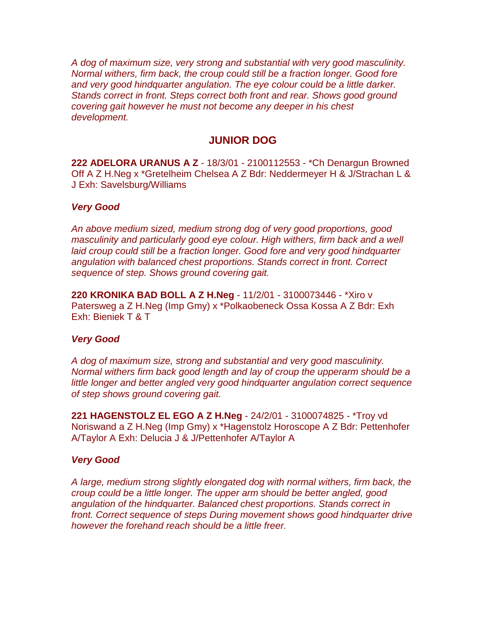*A dog of maximum size, very strong and substantial with very good masculinity. Normal withers, firm back, the croup could still be a fraction longer. Good fore and very good hindquarter angulation. The eye colour could be a little darker. Stands correct in front. Steps correct both front and rear. Shows good ground covering gait however he must not become any deeper in his chest development.*

# **JUNIOR DOG**

**222 ADELORA URANUS A Z** - 18/3/01 - 2100112553 - \*Ch Denargun Browned Off A Z H.Neg x \*Gretelheim Chelsea A Z Bdr: Neddermeyer H & J/Strachan L & J Exh: Savelsburg/Williams

## *Very Good*

*An above medium sized, medium strong dog of very good proportions, good masculinity and particularly good eye colour. High withers, firm back and a well* laid croup could still be a fraction longer. Good fore and very good hindquarter *angulation with balanced chest proportions. Stands correct in front. Correct sequence of step. Shows ground covering gait.*

**220 KRONIKA BAD BOLL A Z H.Neg** - 11/2/01 - 3100073446 - \*Xiro v Patersweg a Z H.Neg (Imp Gmy) x \*Polkaobeneck Ossa Kossa A Z Bdr: Exh Exh: Bieniek T & T

## *Very Good*

*A dog of maximum size, strong and substantial and very good masculinity. Normal withers firm back good length and lay of croup the upperarm should be a little longer and better angled very good hindquarter angulation correct sequence of step shows ground covering gait.*

**221 HAGENSTOLZ EL EGO A Z H.Neg** - 24/2/01 - 3100074825 - \*Troy vd Noriswand a Z H.Neg (Imp Gmy) x \*Hagenstolz Horoscope A Z Bdr: Pettenhofer A/Taylor A Exh: Delucia J & J/Pettenhofer A/Taylor A

## *Very Good*

*A large, medium strong slightly elongated dog with normal withers, firm back, the croup could be a little longer. The upper arm should be better angled, good angulation of the hindquarter. Balanced chest proportions. Stands correct in front. Correct sequence of steps During movement shows good hindquarter drive however the forehand reach should be a little freer.*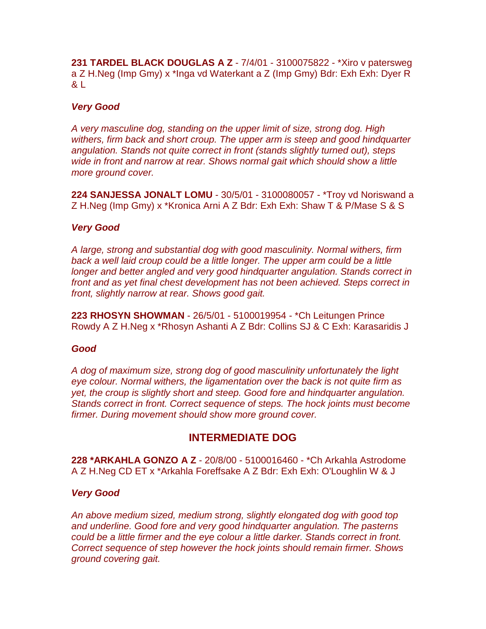**231 TARDEL BLACK DOUGLAS A Z** - 7/4/01 - 3100075822 - \*Xiro v patersweg a Z H.Neg (Imp Gmy) x \*Inga vd Waterkant a Z (Imp Gmy) Bdr: Exh Exh: Dyer R & L

# *Very Good*

*A very masculine dog, standing on the upper limit of size, strong dog. High withers, firm back and short croup. The upper arm is steep and good hindquarter angulation. Stands not quite correct in front (stands slightly turned out), steps wide in front and narrow at rear. Shows normal gait which should show a little more ground cover.*

**224 SANJESSA JONALT LOMU** - 30/5/01 - 3100080057 - \*Troy vd Noriswand a Z H.Neg (Imp Gmy) x \*Kronica Arni A Z Bdr: Exh Exh: Shaw T & P/Mase S & S

## *Very Good*

*A large, strong and substantial dog with good masculinity. Normal withers, firm*  back a well laid croup could be a little longer. The upper arm could be a little *longer and better angled and very good hindquarter angulation. Stands correct in front and as yet final chest development has not been achieved. Steps correct in front, slightly narrow at rear. Shows good gait.*

**223 RHOSYN SHOWMAN** - 26/5/01 - 5100019954 - \*Ch Leitungen Prince Rowdy A Z H.Neg x \*Rhosyn Ashanti A Z Bdr: Collins SJ & C Exh: Karasaridis J

## *Good*

*A dog of maximum size, strong dog of good masculinity unfortunately the light eye colour. Normal withers, the ligamentation over the back is not quite firm as yet, the croup is slightly short and steep. Good fore and hindquarter angulation. Stands correct in front. Correct sequence of steps. The hock joints must become firmer. During movement should show more ground cover.*

# **INTERMEDIATE DOG**

**228 \*ARKAHLA GONZO A Z** - 20/8/00 - 5100016460 - \*Ch Arkahla Astrodome A Z H.Neg CD ET x \*Arkahla Foreffsake A Z Bdr: Exh Exh: O'Loughlin W & J

# *Very Good*

*An above medium sized, medium strong, slightly elongated dog with good top and underline. Good fore and very good hindquarter angulation. The pasterns could be a little firmer and the eye colour a little darker. Stands correct in front. Correct sequence of step however the hock joints should remain firmer. Shows ground covering gait.*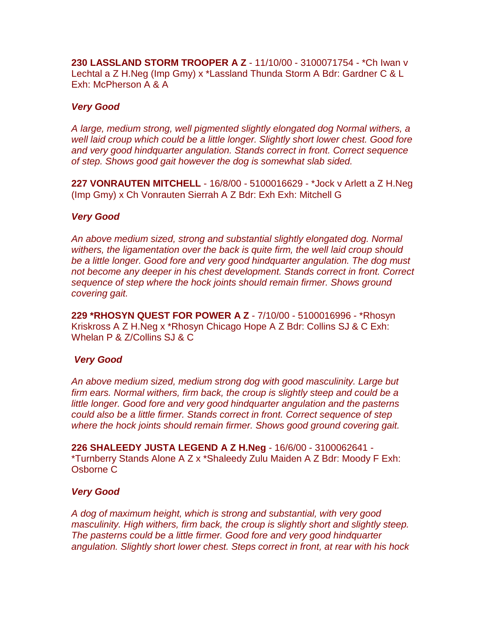**230 LASSLAND STORM TROOPER A Z** - 11/10/00 - 3100071754 - \*Ch Iwan v Lechtal a Z H.Neg (Imp Gmy) x \*Lassland Thunda Storm A Bdr: Gardner C & L Exh: McPherson A & A

## *Very Good*

*A large, medium strong, well pigmented slightly elongated dog Normal withers, a well laid croup which could be a little longer. Slightly short lower chest. Good fore and very good hindquarter angulation. Stands correct in front. Correct sequence of step. Shows good gait however the dog is somewhat slab sided.*

**227 VONRAUTEN MITCHELL** - 16/8/00 - 5100016629 - \*Jock v Arlett a Z H.Neg (Imp Gmy) x Ch Vonrauten Sierrah A Z Bdr: Exh Exh: Mitchell G

## *Very Good*

*An above medium sized, strong and substantial slightly elongated dog. Normal withers, the ligamentation over the back is quite firm, the well laid croup should be a little longer. Good fore and very good hindquarter angulation. The dog must not become any deeper in his chest development. Stands correct in front. Correct sequence of step where the hock joints should remain firmer. Shows ground covering gait.*

**229 \*RHOSYN QUEST FOR POWER A Z** - 7/10/00 - 5100016996 - \*Rhosyn Kriskross A Z H.Neg x \*Rhosyn Chicago Hope A Z Bdr: Collins SJ & C Exh: Whelan P & Z/Collins SJ & C

## *Very Good*

*An above medium sized, medium strong dog with good masculinity. Large but firm ears. Normal withers, firm back, the croup is slightly steep and could be a little longer. Good fore and very good hindquarter angulation and the pasterns could also be a little firmer. Stands correct in front. Correct sequence of step where the hock joints should remain firmer. Shows good ground covering gait.*

**226 SHALEEDY JUSTA LEGEND A Z H.Neg** - 16/6/00 - 3100062641 - \*Turnberry Stands Alone A Z x \*Shaleedy Zulu Maiden A Z Bdr: Moody F Exh: Osborne C

## *Very Good*

*A dog of maximum height, which is strong and substantial, with very good masculinity. High withers, firm back, the croup is slightly short and slightly steep. The pasterns could be a little firmer. Good fore and very good hindquarter angulation. Slightly short lower chest. Steps correct in front, at rear with his hock*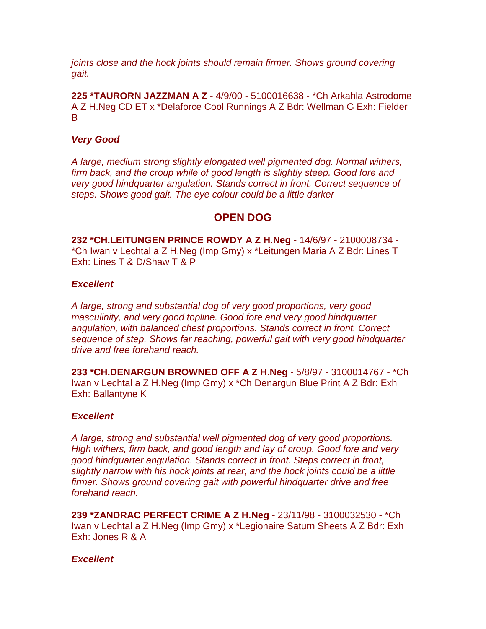*joints close and the hock joints should remain firmer. Shows ground covering gait.*

**225 \*TAURORN JAZZMAN A Z** - 4/9/00 - 5100016638 - \*Ch Arkahla Astrodome A Z H.Neg CD ET x \*Delaforce Cool Runnings A Z Bdr: Wellman G Exh: Fielder B

# *Very Good*

*A large, medium strong slightly elongated well pigmented dog. Normal withers, firm back, and the croup while of good length is slightly steep. Good fore and very good hindquarter angulation. Stands correct in front. Correct sequence of steps. Shows good gait. The eye colour could be a little darker*

# **OPEN DOG**

**232 \*CH.LEITUNGEN PRINCE ROWDY A Z H.Neg** - 14/6/97 - 2100008734 - \*Ch Iwan v Lechtal a Z H.Neg (Imp Gmy) x \*Leitungen Maria A Z Bdr: Lines T Exh: Lines T & D/Shaw T & P

# *Excellent*

*A large, strong and substantial dog of very good proportions, very good masculinity, and very good topline. Good fore and very good hindquarter angulation, with balanced chest proportions. Stands correct in front. Correct sequence of step. Shows far reaching, powerful gait with very good hindquarter drive and free forehand reach.*

**233 \*CH.DENARGUN BROWNED OFF A Z H.Neg** - 5/8/97 - 3100014767 - \*Ch Iwan v Lechtal a Z H.Neg (Imp Gmy) x \*Ch Denargun Blue Print A Z Bdr: Exh Exh: Ballantyne K

# *Excellent*

*A large, strong and substantial well pigmented dog of very good proportions. High withers, firm back, and good length and lay of croup. Good fore and very good hindquarter angulation. Stands correct in front. Steps correct in front, slightly narrow with his hock joints at rear, and the hock joints could be a little firmer. Shows ground covering gait with powerful hindquarter drive and free forehand reach.*

**239 \*ZANDRAC PERFECT CRIME A Z H.Neg** - 23/11/98 - 3100032530 - \*Ch Iwan v Lechtal a Z H.Neg (Imp Gmy) x \*Legionaire Saturn Sheets A Z Bdr: Exh Exh: Jones R & A

# *Excellent*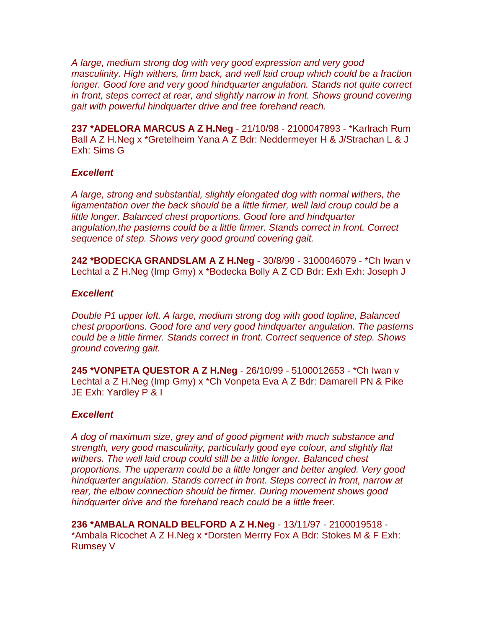*A large, medium strong dog with very good expression and very good masculinity. High withers, firm back, and well laid croup which could be a fraction longer. Good fore and very good hindquarter angulation. Stands not quite correct in front, steps correct at rear, and slightly narrow in front. Shows ground covering gait with powerful hindquarter drive and free forehand reach.*

**237 \*ADELORA MARCUS A Z H.Neg** - 21/10/98 - 2100047893 - \*Karlrach Rum Ball A Z H.Neg x \*Gretelheim Yana A Z Bdr: Neddermeyer H & J/Strachan L & J Exh: Sims G

## *Excellent*

*A large, strong and substantial, slightly elongated dog with normal withers, the*  ligamentation over the back should be a little firmer, well laid croup could be a *little longer. Balanced chest proportions. Good fore and hindquarter angulation,the pasterns could be a little firmer. Stands correct in front. Correct sequence of step. Shows very good ground covering gait.*

**242 \*BODECKA GRANDSLAM A Z H.Neg** - 30/8/99 - 3100046079 - \*Ch Iwan v Lechtal a Z H.Neg (Imp Gmy) x \*Bodecka Bolly A Z CD Bdr: Exh Exh: Joseph J

## *Excellent*

*Double P1 upper left. A large, medium strong dog with good topline, Balanced chest proportions. Good fore and very good hindquarter angulation. The pasterns could be a little firmer. Stands correct in front. Correct sequence of step. Shows ground covering gait.*

**245 \*VONPETA QUESTOR A Z H.Neg** - 26/10/99 - 5100012653 - \*Ch Iwan v Lechtal a Z H.Neg (Imp Gmy) x \*Ch Vonpeta Eva A Z Bdr: Damarell PN & Pike JE Exh: Yardley P & I

# *Excellent*

*A dog of maximum size, grey and of good pigment with much substance and strength, very good masculinity, particularly good eye colour, and slightly flat withers. The well laid croup could still be a little longer. Balanced chest proportions. The upperarm could be a little longer and better angled. Very good hindquarter angulation. Stands correct in front. Steps correct in front, narrow at rear, the elbow connection should be firmer. During movement shows good hindquarter drive and the forehand reach could be a little freer.*

**236 \*AMBALA RONALD BELFORD A Z H.Neg** - 13/11/97 - 2100019518 - \*Ambala Ricochet A Z H.Neg x \*Dorsten Merrry Fox A Bdr: Stokes M & F Exh: Rumsey V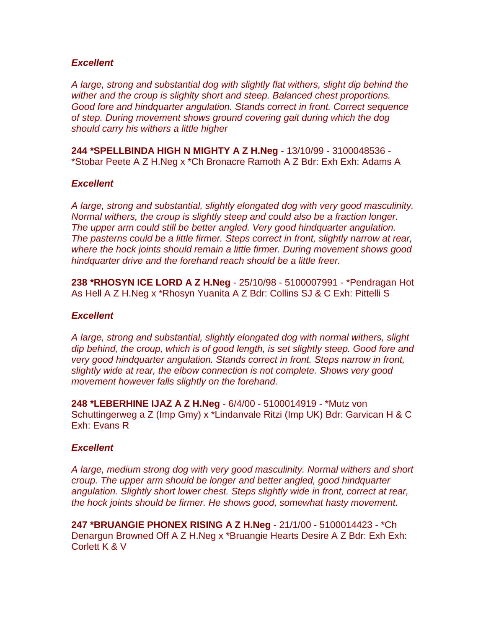## *Excellent*

*A large, strong and substantial dog with slightly flat withers, slight dip behind the wither and the croup is slighlty short and steep. Balanced chest proportions. Good fore and hindquarter angulation. Stands correct in front. Correct sequence of step. During movement shows ground covering gait during which the dog should carry his withers a little higher*

**244 \*SPELLBINDA HIGH N MIGHTY A Z H.Neg** - 13/10/99 - 3100048536 - \*Stobar Peete A Z H.Neg x \*Ch Bronacre Ramoth A Z Bdr: Exh Exh: Adams A

## *Excellent*

*A large, strong and substantial, slightly elongated dog with very good masculinity. Normal withers, the croup is slightly steep and could also be a fraction longer. The upper arm could still be better angled. Very good hindquarter angulation. The pasterns could be a little firmer. Steps correct in front, slightly narrow at rear, where the hock joints should remain a little firmer. During movement shows good hindquarter drive and the forehand reach should be a little freer.*

**238 \*RHOSYN ICE LORD A Z H.Neg** - 25/10/98 - 5100007991 - \*Pendragan Hot As Hell A Z H.Neg x \*Rhosyn Yuanita A Z Bdr: Collins SJ & C Exh: Pittelli S

#### *Excellent*

*A large, strong and substantial, slightly elongated dog with normal withers, slight dip behind, the croup, which is of good length, is set slightly steep. Good fore and very good hindquarter angulation. Stands correct in front. Steps narrow in front, slightly wide at rear, the elbow connection is not complete. Shows very good movement however falls slightly on the forehand.*

**248 \*LEBERHINE IJAZ A Z H.Neg** - 6/4/00 - 5100014919 - \*Mutz von Schuttingerweg a Z (Imp Gmy) x \*Lindanvale Ritzi (Imp UK) Bdr: Garvican H & C Exh: Evans R

## *Excellent*

*A large, medium strong dog with very good masculinity. Normal withers and short croup. The upper arm should be longer and better angled, good hindquarter angulation. Slightly short lower chest. Steps slightly wide in front, correct at rear, the hock joints should be firmer. He shows good, somewhat hasty movement.*

**247 \*BRUANGIE PHONEX RISING A Z H.Neg** - 21/1/00 - 5100014423 - \*Ch Denargun Browned Off A Z H.Neg x \*Bruangie Hearts Desire A Z Bdr: Exh Exh: Corlett K & V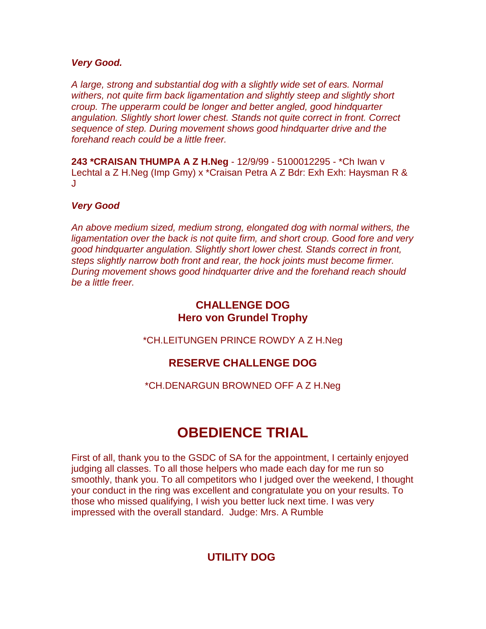# *Very Good.*

*A large, strong and substantial dog with a slightly wide set of ears. Normal withers, not quite firm back ligamentation and slightly steep and slightly short croup. The upperarm could be longer and better angled, good hindquarter angulation. Slightly short lower chest. Stands not quite correct in front. Correct sequence of step. During movement shows good hindquarter drive and the forehand reach could be a little freer.*

**243 \*CRAISAN THUMPA A Z H.Neg** - 12/9/99 - 5100012295 - \*Ch Iwan v Lechtal a Z H.Neg (Imp Gmy) x \*Craisan Petra A Z Bdr: Exh Exh: Haysman R & J

# *Very Good*

*An above medium sized, medium strong, elongated dog with normal withers, the ligamentation over the back is not quite firm, and short croup. Good fore and very good hindquarter angulation. Slightly short lower chest. Stands correct in front, steps slightly narrow both front and rear, the hock joints must become firmer. During movement shows good hindquarter drive and the forehand reach should be a little freer.*

# **CHALLENGE DOG Hero von Grundel Trophy**

\*CH.LEITUNGEN PRINCE ROWDY A Z H.Neg

# **RESERVE CHALLENGE DOG**

\*CH.DENARGUN BROWNED OFF A Z H.Neg

# **OBEDIENCE TRIAL**

First of all, thank you to the GSDC of SA for the appointment, I certainly enjoyed judging all classes. To all those helpers who made each day for me run so smoothly, thank you. To all competitors who I judged over the weekend, I thought your conduct in the ring was excellent and congratulate you on your results. To those who missed qualifying, I wish you better luck next time. I was very impressed with the overall standard. Judge: Mrs. A Rumble

# **UTILITY DOG**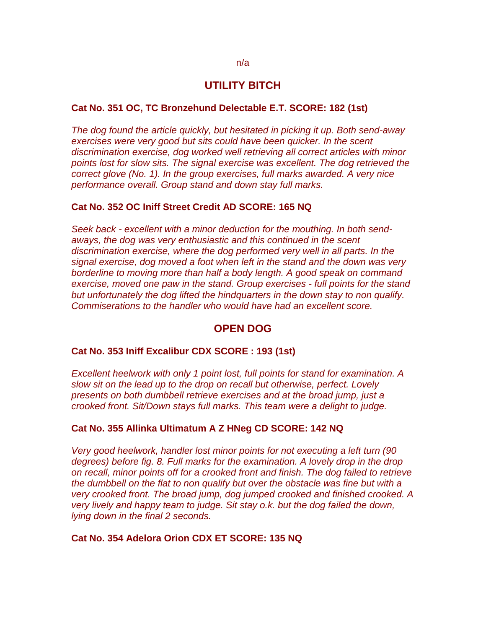# **UTILITY BITCH**

## **Cat No. 351 OC, TC Bronzehund Delectable E.T. SCORE: 182 (1st)**

*The dog found the article quickly, but hesitated in picking it up. Both send-away exercises were very good but sits could have been quicker. In the scent discrimination exercise, dog worked well retrieving all correct articles with minor points lost for slow sits. The signal exercise was excellent. The dog retrieved the correct glove (No. 1). In the group exercises, full marks awarded. A very nice performance overall. Group stand and down stay full marks.*

## **Cat No. 352 OC Iniff Street Credit AD SCORE: 165 NQ**

*Seek back - excellent with a minor deduction for the mouthing. In both sendaways, the dog was very enthusiastic and this continued in the scent discrimination exercise, where the dog performed very well in all parts. In the signal exercise, dog moved a foot when left in the stand and the down was very borderline to moving more than half a body length. A good speak on command exercise, moved one paw in the stand. Group exercises - full points for the stand but unfortunately the dog lifted the hindquarters in the down stay to non qualify. Commiserations to the handler who would have had an excellent score.*

# **OPEN DOG**

#### **Cat No. 353 Iniff Excalibur CDX SCORE : 193 (1st)**

*Excellent heelwork with only 1 point lost, full points for stand for examination. A slow sit on the lead up to the drop on recall but otherwise, perfect. Lovely presents on both dumbbell retrieve exercises and at the broad jump, just a crooked front. Sit/Down stays full marks. This team were a delight to judge.*

#### **Cat No. 355 Allinka Ultimatum A Z HNeg CD SCORE: 142 NQ**

*Very good heelwork, handler lost minor points for not executing a left turn (90 degrees) before fig. 8. Full marks for the examination. A lovely drop in the drop on recall, minor points off for a crooked front and finish. The dog failed to retrieve the dumbbell on the flat to non qualify but over the obstacle was fine but with a very crooked front. The broad jump, dog jumped crooked and finished crooked. A very lively and happy team to judge. Sit stay o.k. but the dog failed the down, lying down in the final 2 seconds.*

## **Cat No. 354 Adelora Orion CDX ET SCORE: 135 NQ**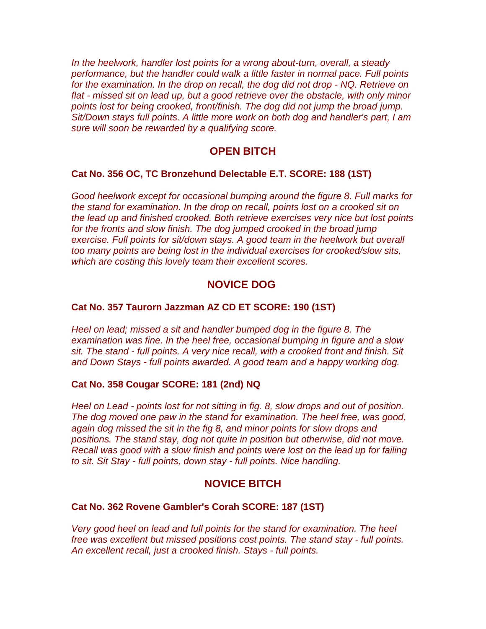*In the heelwork, handler lost points for a wrong about-turn, overall, a steady performance, but the handler could walk a little faster in normal pace. Full points for the examination. In the drop on recall, the dog did not drop - NQ. Retrieve on flat - missed sit on lead up, but a good retrieve over the obstacle, with only minor points lost for being crooked, front/finish. The dog did not jump the broad jump. Sit/Down stays full points. A little more work on both dog and handler's part, I am sure will soon be rewarded by a qualifying score.*

# **OPEN BITCH**

## **Cat No. 356 OC, TC Bronzehund Delectable E.T. SCORE: 188 (1ST)**

*Good heelwork except for occasional bumping around the figure 8. Full marks for the stand for examination. In the drop on recall, points lost on a crooked sit on the lead up and finished crooked. Both retrieve exercises very nice but lost points for the fronts and slow finish. The dog jumped crooked in the broad jump exercise. Full points for sit/down stays. A good team in the heelwork but overall too many points are being lost in the individual exercises for crooked/slow sits, which are costing this lovely team their excellent scores.*

# **NOVICE DOG**

#### **Cat No. 357 Taurorn Jazzman AZ CD ET SCORE: 190 (1ST)**

*Heel on lead; missed a sit and handler bumped dog in the figure 8. The examination was fine. In the heel free, occasional bumping in figure and a slow sit. The stand - full points. A very nice recall, with a crooked front and finish. Sit and Down Stays - full points awarded. A good team and a happy working dog.*

#### **Cat No. 358 Cougar SCORE: 181 (2nd) NQ**

*Heel on Lead - points lost for not sitting in fig. 8, slow drops and out of position. The dog moved one paw in the stand for examination. The heel free, was good, again dog missed the sit in the fig 8, and minor points for slow drops and positions. The stand stay, dog not quite in position but otherwise, did not move. Recall was good with a slow finish and points were lost on the lead up for failing to sit. Sit Stay - full points, down stay - full points. Nice handling.*

## **NOVICE BITCH**

#### **Cat No. 362 Rovene Gambler's Corah SCORE: 187 (1ST)**

*Very good heel on lead and full points for the stand for examination. The heel free was excellent but missed positions cost points. The stand stay - full points. An excellent recall, just a crooked finish. Stays - full points.*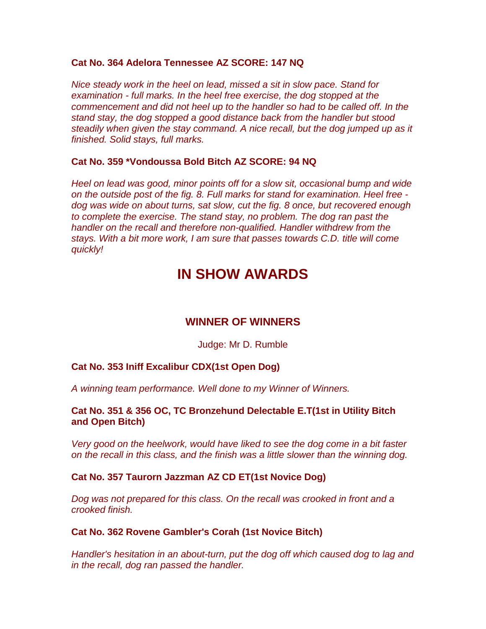## **Cat No. 364 Adelora Tennessee AZ SCORE: 147 NQ**

*Nice steady work in the heel on lead, missed a sit in slow pace. Stand for examination - full marks. In the heel free exercise, the dog stopped at the commencement and did not heel up to the handler so had to be called off. In the stand stay, the dog stopped a good distance back from the handler but stood steadily when given the stay command. A nice recall, but the dog jumped up as it finished. Solid stays, full marks.*

# **Cat No. 359 \*Vondoussa Bold Bitch AZ SCORE: 94 NQ**

*Heel on lead was good, minor points off for a slow sit, occasional bump and wide on the outside post of the fig. 8. Full marks for stand for examination. Heel free dog was wide on about turns, sat slow, cut the fig. 8 once, but recovered enough to complete the exercise. The stand stay, no problem. The dog ran past the handler on the recall and therefore non-qualified. Handler withdrew from the stays. With a bit more work, I am sure that passes towards C.D. title will come quickly!*

# **IN SHOW AWARDS**

# **WINNER OF WINNERS**

## Judge: Mr D. Rumble

# **Cat No. 353 Iniff Excalibur CDX(1st Open Dog)**

*A winning team performance. Well done to my Winner of Winners.*

# **Cat No. 351 & 356 OC, TC Bronzehund Delectable E.T(1st in Utility Bitch and Open Bitch)**

*Very good on the heelwork, would have liked to see the dog come in a bit faster on the recall in this class, and the finish was a little slower than the winning dog.*

## **Cat No. 357 Taurorn Jazzman AZ CD ET(1st Novice Dog)**

*Dog was not prepared for this class. On the recall was crooked in front and a crooked finish.*

## **Cat No. 362 Rovene Gambler's Corah (1st Novice Bitch)**

*Handler's hesitation in an about-turn, put the dog off which caused dog to lag and in the recall, dog ran passed the handler.*